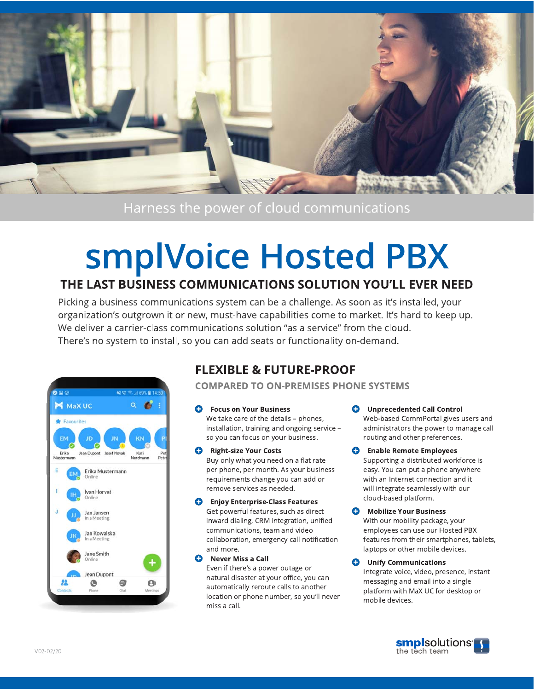

Harness the power of cloud communications

# smplVoice Hosted PBX

# THE LAST BUSINESS COMMUNICATIONS SOLUTION YOU'LL EVER NEED

Picking a business communications system can be a challenge. As soon as it's installed, your organization's outgrown it or new, must-have capabilities come to market. It's hard to keep up. We deliver a carrier-class communications solution "as a service" from the cloud. There's no system to install, so you can add seats or functionality on-demand.



# **FLEXIBLE & FUTURE-PROOF**

**COMPARED TO ON-PREMISES PHONE SYSTEMS** 

Ô **Focus on Your Business** 

We take care of the details - phones, installation, training and ongoing service so you can focus on your business.

- **Right-size Your Costs** 0 Buy only what you need on a flat rate per phone, per month. As your business requirements change you can add or remove services as needed.
- 0 **Enjoy Enterprise-Class Features** Get powerful features, such as direct inward dialing, CRM integration, unified communications, team and video collaboration, emergency call notification and more.
- Q Never Miss a Call Even if there's a power outage or natural disaster at your office, you can automatically reroute calls to another location or phone number, so you'll never miss a call.
- **Unprecedented Call Control** Web-based CommPortal gives users and administrators the power to manage call routing and other preferences.
- **Enable Remote Employees** 0 Supporting a distributed workforce is easy. You can put a phone anywhere with an Internet connection and it will integrate seamlessly with our cloud-based platform.
- Q **Mobilize Your Business** With our mobility package, your employees can use our Hosted PBX features from their smartphones, tablets, laptops or other mobile devices.
- O **Unify Communications** Integrate voice, video, presence, instant messaging and email into a single platform with MaX UC for desktop or mobile devices.